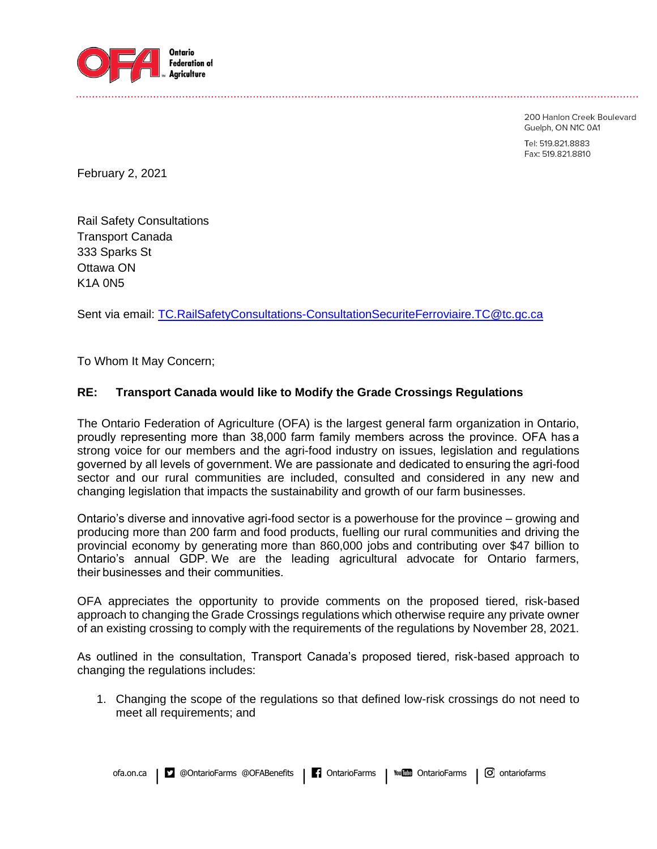

200 Hanlon Creek Boulevard Guelph, ON N1C 0A1 Tel: 519.821.8883 Fax: 519.821.8810

February 2, 2021

Rail Safety Consultations Transport Canada 333 Sparks St Ottawa ON K1A 0N5

Sent via email: [TC.RailSafetyConsultations-ConsultationSecuriteFerroviaire.TC@tc.gc.ca](mailto:TC.RailSafetyConsultations-ConsultationSecuriteFerroviaire.TC@tc.gc.ca)

To Whom It May Concern;

## **RE: Transport Canada would like to Modify the Grade Crossings Regulations**

The Ontario Federation of Agriculture (OFA) is the largest general farm organization in Ontario, proudly representing more than 38,000 farm family members across the province. OFA has a strong voice for our members and the agri-food industry on issues, legislation and regulations governed by all levels of government. We are passionate and dedicated to ensuring the agri-food sector and our rural communities are included, consulted and considered in any new and changing legislation that impacts the sustainability and growth of our farm businesses.

Ontario's diverse and innovative agri-food sector is a powerhouse for the province – growing and producing more than 200 farm and food products, fuelling our rural communities and driving the provincial economy by generating more than 860,000 jobs and contributing over \$47 billion to Ontario's annual GDP. We are the leading agricultural advocate for Ontario farmers, their businesses and their communities.

OFA appreciates the opportunity to provide comments on the proposed tiered, risk-based approach to changing the Grade Crossings regulations which otherwise require any private owner of an existing crossing to comply with the requirements of the regulations by November 28, 2021.

As outlined in the consultation, Transport Canada's proposed tiered, risk-based approach to changing the regulations includes:

1. Changing the scope of the regulations so that defined low-risk crossings do not need to meet all requirements; and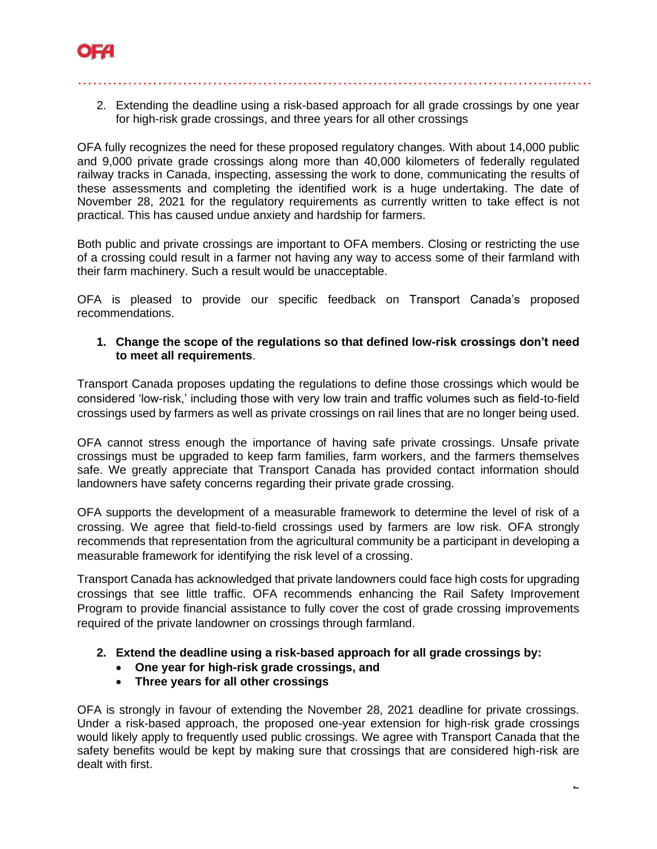

2. Extending the deadline using a risk-based approach for all grade crossings by one year for high-risk grade crossings, and three years for all other crossings

…………………………………………………………………………………….……

OFA fully recognizes the need for these proposed regulatory changes. With about 14,000 public and 9,000 private grade crossings along more than 40,000 kilometers of federally regulated railway tracks in Canada, inspecting, assessing the work to done, communicating the results of these assessments and completing the identified work is a huge undertaking. The date of November 28, 2021 for the regulatory requirements as currently written to take effect is not practical. This has caused undue anxiety and hardship for farmers.

Both public and private crossings are important to OFA members. Closing or restricting the use of a crossing could result in a farmer not having any way to access some of their farmland with their farm machinery. Such a result would be unacceptable.

OFA is pleased to provide our specific feedback on Transport Canada's proposed recommendations.

## **1. Change the scope of the regulations so that defined low-risk crossings don't need to meet all requirements**.

Transport Canada proposes updating the regulations to define those crossings which would be considered 'low-risk,' including those with very low train and traffic volumes such as field-to-field crossings used by farmers as well as private crossings on rail lines that are no longer being used.

OFA cannot stress enough the importance of having safe private crossings. Unsafe private crossings must be upgraded to keep farm families, farm workers, and the farmers themselves safe. We greatly appreciate that Transport Canada has provided contact information should landowners have safety concerns regarding their private grade crossing.

OFA supports the development of a measurable framework to determine the level of risk of a crossing. We agree that field-to-field crossings used by farmers are low risk. OFA strongly recommends that representation from the agricultural community be a participant in developing a measurable framework for identifying the risk level of a crossing.

Transport Canada has acknowledged that private landowners could face high costs for upgrading crossings that see little traffic. OFA recommends enhancing the Rail Safety Improvement Program to provide financial assistance to fully cover the cost of grade crossing improvements required of the private landowner on crossings through farmland.

- **2. Extend the deadline using a risk-based approach for all grade crossings by:**
	- **One year for high-risk grade crossings, and**
	- **Three years for all other crossings**

OFA is strongly in favour of extending the November 28, 2021 deadline for private crossings. Under a risk-based approach, the proposed one-year extension for high-risk grade crossings would likely apply to frequently used public crossings. We agree with Transport Canada that the safety benefits would be kept by making sure that crossings that are considered high-risk are dealt with first.